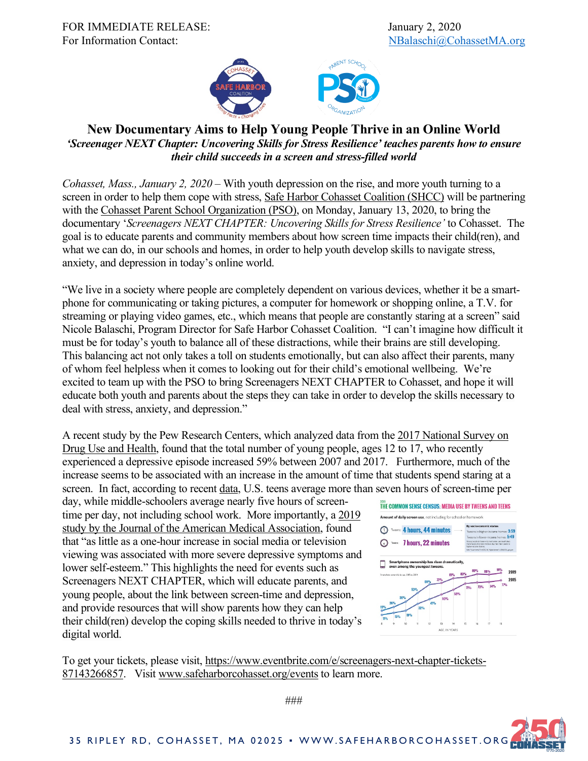FOR IMMEDIATE RELEASE: January 2, 2020 For Information Contact: NBalaschi@CohassetMA.org



## **New Documentary Aims to Help Young People Thrive in an Online World** *'Screenager NEXT Chapter: Uncovering Skills for Stress Resilience' teaches parents how to ensure their child succeeds in a screen and stress-filled world*

*Cohasset, Mass., January 2, 2020* – With youth depression on the rise, and more youth turning to a screen in order to help them cope with stress, Safe Harbor Cohasset Coalition (SHCC) will be partnering with the Cohasset Parent School Organization (PSO), on Monday, January 13, 2020, to bring the documentary '*Screenagers NEXT CHAPTER: Uncovering Skills for Stress Resilience'* to Cohasset. The goal is to educate parents and community members about how screen time impacts their child(ren), and what we can do, in our schools and homes, in order to help youth develop skills to navigate stress, anxiety, and depression in today's online world.

"We live in a society where people are completely dependent on various devices, whether it be a smartphone for communicating or taking pictures, a computer for homework or shopping online, a T.V. for streaming or playing video games, etc., which means that people are constantly staring at a screen" said Nicole Balaschi, Program Director for Safe Harbor Cohasset Coalition. "I can't imagine how difficult it must be for today's youth to balance all of these distractions, while their brains are still developing. This balancing act not only takes a toll on students emotionally, but can also affect their parents, many of whom feel helpless when it comes to looking out for their child's emotional wellbeing. We're excited to team up with the PSO to bring Screenagers NEXT CHAPTER to Cohasset, and hope it will educate both youth and parents about the steps they can take in order to develop the skills necessary to deal with stress, anxiety, and depression."

A recent study by the Pew Research Centers, which analyzed data from the 2017 National Survey on Drug Use and Health, found that the total number of young people, ages 12 to 17, who recently experienced a depressive episode increased 59% between 2007 and 2017. Furthermore, much of the increase seems to be associated with an increase in the amount of time that students spend staring at a screen. In fact, according to recent data, U.S. teens average more than seven hours of screen-time per

day, while middle-schoolers average nearly five hours of screentime per day, not including school work. More importantly, a 2019 study by the Journal of the American Medical Association, found that "as little as a one-hour increase in social media or television viewing was associated with more severe depressive symptoms and lower self-esteem." This highlights the need for events such as Screenagers NEXT CHAPTER, which will educate parents, and young people, about the link between screen-time and depression, and provide resources that will show parents how they can help their child(ren) develop the coping skills needed to thrive in today's digital world.



To get your tickets, please visit, https://www.eventbrite.com/e/screenagers-next-chapter-tickets-87143266857. Visit www.safeharborcohasset.org/events to learn more.